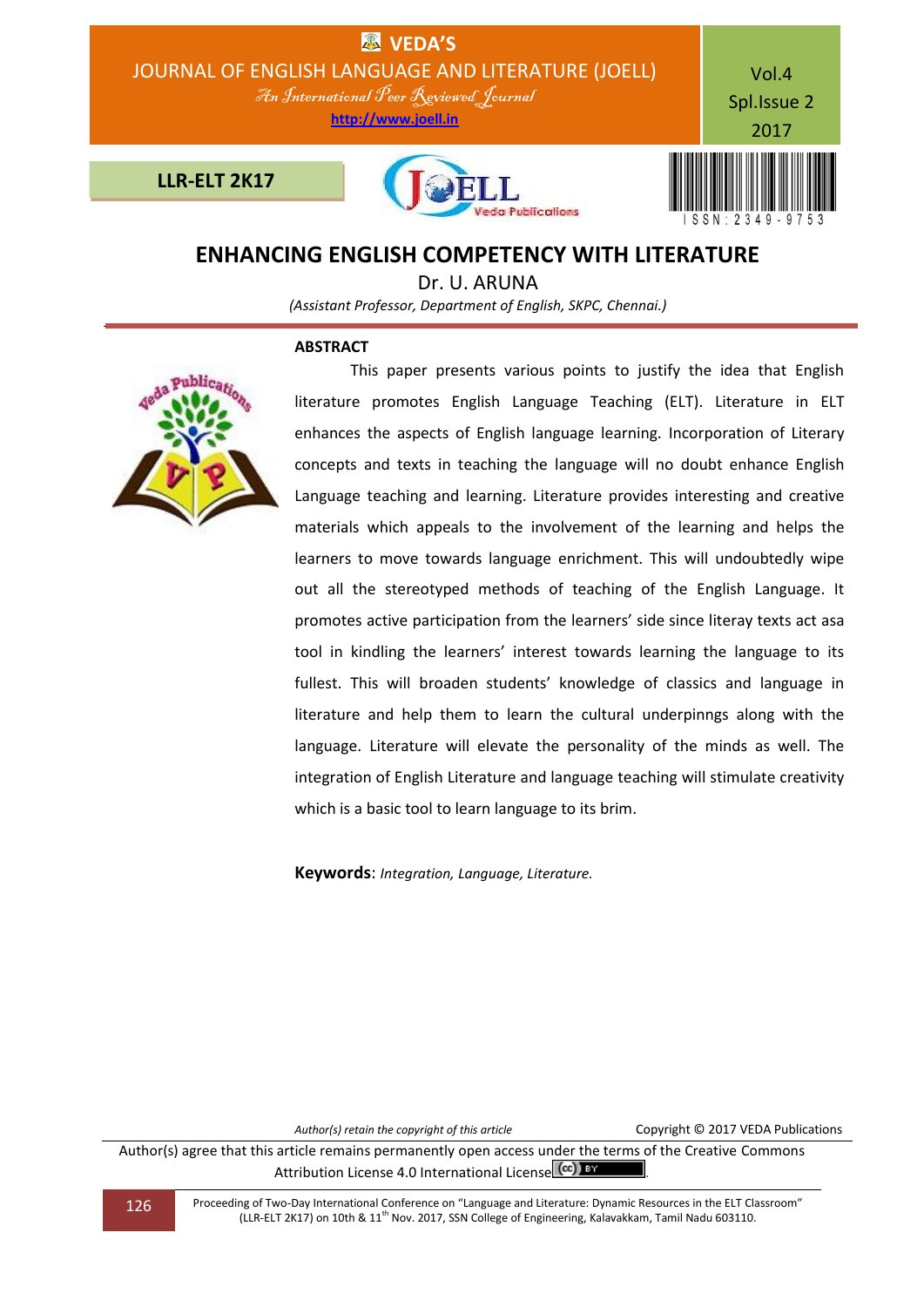

## **ENHANCING ENGLISH COMPETENCY WITH LITERATURE**

Dr. U. ARUNA

*(Assistant Professor, Department of English, SKPC, Chennai.)*

## **ABSTRACT**



This paper presents various points to justify the idea that English literature promotes English Language Teaching (ELT). Literature in ELT enhances the aspects of English language learning. Incorporation of Literary concepts and texts in teaching the language will no doubt enhance English Language teaching and learning. Literature provides interesting and creative materials which appeals to the involvement of the learning and helps the learners to move towards language enrichment. This will undoubtedly wipe out all the stereotyped methods of teaching of the English Language. It promotes active participation from the learners' side since literay texts act asa tool in kindling the learners' interest towards learning the language to its fullest. This will broaden students' knowledge of classics and language in literature and help them to learn the cultural underpinngs along with the language. Literature will elevate the personality of the minds as well. The integration of English Literature and language teaching will stimulate creativity which is a basic tool to learn language to its brim.

**Keywords**: *Integration, Language, Literature.*

*Author(s) retain the copyright of this article* Copyright © 2017 VEDA Publications

Author(s) agree that this article remains permanently open access under the terms of the Creative Commons Attribution License 4.0 International License CCC) BY

126 Proceeding of Two-Day International Conference on "Language and Literature: Dynamic Resources in the ELT Classroom" (LLR-ELT 2K17) on 10th & 11th Nov. 2017, SSN College of Engineering, Kalavakkam, Tamil Nadu 603110.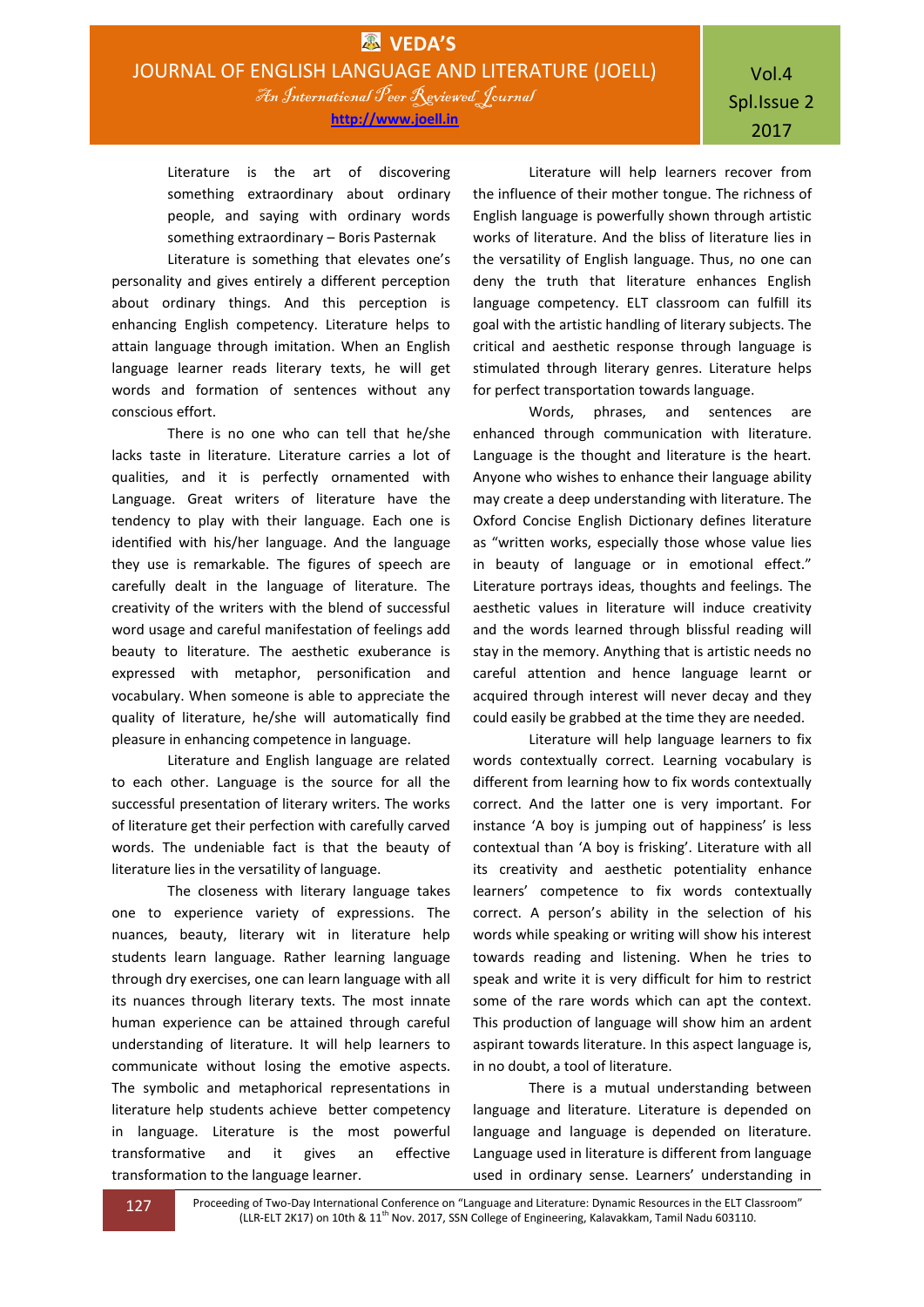**http://www.joell.in**

Literature is the art of discovering something extraordinary about ordinary people, and saying with ordinary words something extraordinary – Boris Pasternak

Literature is something that elevates one's personality and gives entirely a different perception about ordinary things. And this perception is enhancing English competency. Literature helps to attain language through imitation. When an English language learner reads literary texts, he will get words and formation of sentences without any conscious effort.

There is no one who can tell that he/she lacks taste in literature. Literature carries a lot of qualities, and it is perfectly ornamented with Language. Great writers of literature have the tendency to play with their language. Each one is identified with his/her language. And the language they use is remarkable. The figures of speech are carefully dealt in the language of literature. The creativity of the writers with the blend of successful word usage and careful manifestation of feelings add beauty to literature. The aesthetic exuberance is expressed with metaphor, personification and vocabulary. When someone is able to appreciate the quality of literature, he/she will automatically find pleasure in enhancing competence in language.

Literature and English language are related to each other. Language is the source for all the successful presentation of literary writers. The works of literature get their perfection with carefully carved words. The undeniable fact is that the beauty of literature lies in the versatility of language.

The closeness with literary language takes one to experience variety of expressions. The nuances, beauty, literary wit in literature help students learn language. Rather learning language through dry exercises, one can learn language with all its nuances through literary texts. The most innate human experience can be attained through careful understanding of literature. It will help learners to communicate without losing the emotive aspects. The symbolic and metaphorical representations in literature help students achieve better competency in language. Literature is the most powerful transformative and it gives an effective transformation to the language learner.

Literature will help learners recover from the influence of their mother tongue. The richness of English language is powerfully shown through artistic works of literature. And the bliss of literature lies in the versatility of English language. Thus, no one can deny the truth that literature enhances English language competency. ELT classroom can fulfill its goal with the artistic handling of literary subjects. The critical and aesthetic response through language is stimulated through literary genres. Literature helps for perfect transportation towards language.

Words, phrases, and sentences are enhanced through communication with literature. Language is the thought and literature is the heart. Anyone who wishes to enhance their language ability may create a deep understanding with literature. The Oxford Concise English Dictionary defines literature as "written works, especially those whose value lies in beauty of language or in emotional effect." Literature portrays ideas, thoughts and feelings. The aesthetic values in literature will induce creativity and the words learned through blissful reading will stay in the memory. Anything that is artistic needs no careful attention and hence language learnt or acquired through interest will never decay and they could easily be grabbed at the time they are needed.

Literature will help language learners to fix words contextually correct. Learning vocabulary is different from learning how to fix words contextually correct. And the latter one is very important. For instance 'A boy is jumping out of happiness' is less contextual than 'A boy is frisking'. Literature with all its creativity and aesthetic potentiality enhance learners' competence to fix words contextually correct. A person's ability in the selection of his words while speaking or writing will show his interest towards reading and listening. When he tries to speak and write it is very difficult for him to restrict some of the rare words which can apt the context. This production of language will show him an ardent aspirant towards literature. In this aspect language is, in no doubt, a tool of literature.

There is a mutual understanding between language and literature. Literature is depended on language and language is depended on literature. Language used in literature is different from language used in ordinary sense. Learners' understanding in

127 Proceeding of Two-Day International Conference on "Language and Literature: Dynamic Resources in the ELT Classroom" (LLR-ELT 2K17) on 10th & 11<sup>th</sup> Nov. 2017, SSN College of Engineering, Kalavakkam, Tamil Nadu 603110.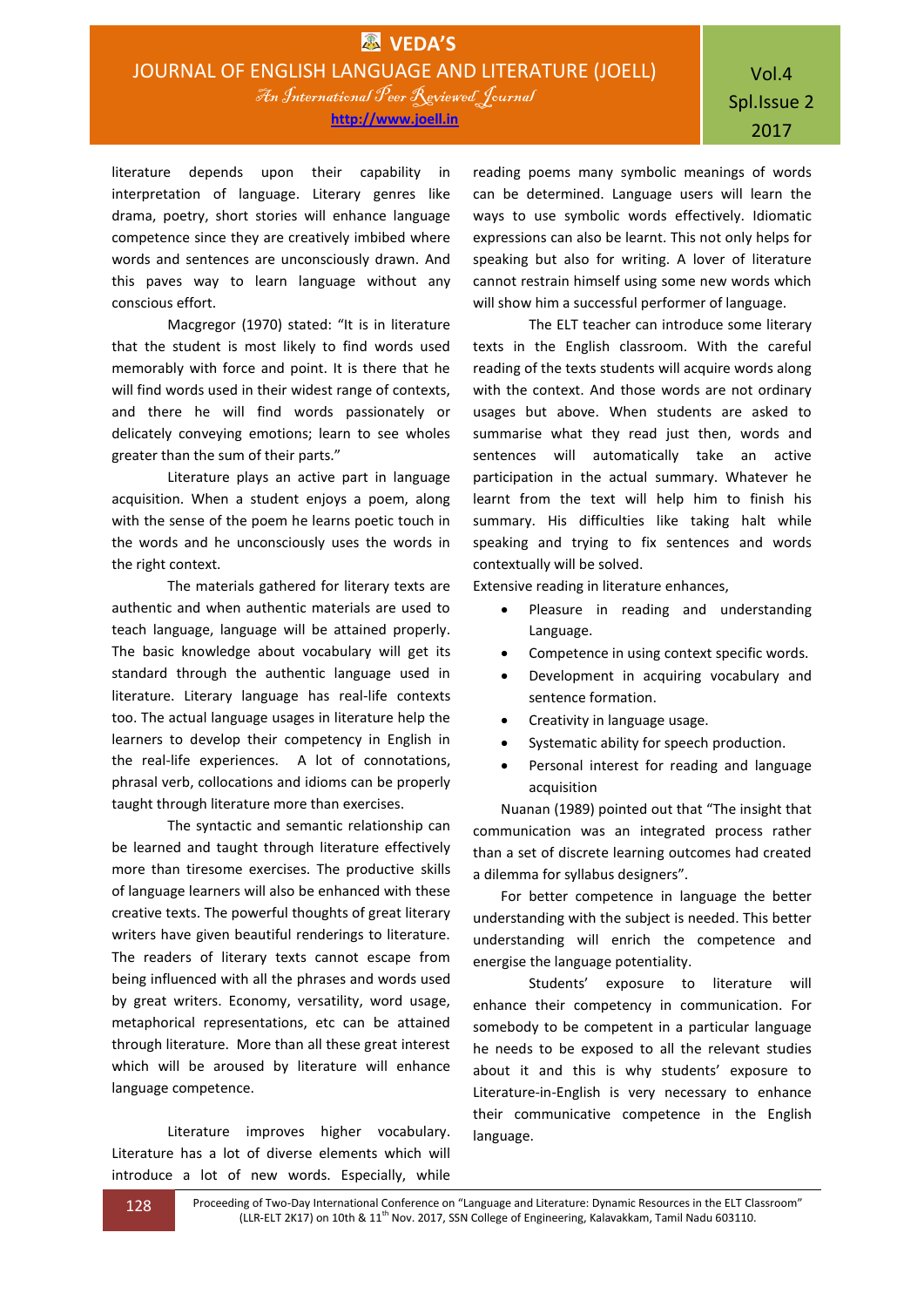literature depends upon their capability in interpretation of language. Literary genres like drama, poetry, short stories will enhance language competence since they are creatively imbibed where words and sentences are unconsciously drawn. And this paves way to learn language without any conscious effort.

Macgregor (1970) stated: "It is in literature that the student is most likely to find words used memorably with force and point. It is there that he will find words used in their widest range of contexts, and there he will find words passionately or delicately conveying emotions; learn to see wholes greater than the sum of their parts."

Literature plays an active part in language acquisition. When a student enjoys a poem, along with the sense of the poem he learns poetic touch in the words and he unconsciously uses the words in the right context.

The materials gathered for literary texts are authentic and when authentic materials are used to teach language, language will be attained properly. The basic knowledge about vocabulary will get its standard through the authentic language used in literature. Literary language has real-life contexts too. The actual language usages in literature help the learners to develop their competency in English in the real-life experiences. A lot of connotations, phrasal verb, collocations and idioms can be properly taught through literature more than exercises.

The syntactic and semantic relationship can be learned and taught through literature effectively more than tiresome exercises. The productive skills of language learners will also be enhanced with these creative texts. The powerful thoughts of great literary writers have given beautiful renderings to literature. The readers of literary texts cannot escape from being influenced with all the phrases and words used by great writers. Economy, versatility, word usage, metaphorical representations, etc can be attained through literature. More than all these great interest which will be aroused by literature will enhance language competence.

Literature improves higher vocabulary. Literature has a lot of diverse elements which will introduce a lot of new words. Especially, while

reading poems many symbolic meanings of words can be determined. Language users will learn the ways to use symbolic words effectively. Idiomatic expressions can also be learnt. This not only helps for speaking but also for writing. A lover of literature cannot restrain himself using some new words which will show him a successful performer of language.

The ELT teacher can introduce some literary texts in the English classroom. With the careful reading of the texts students will acquire words along with the context. And those words are not ordinary usages but above. When students are asked to summarise what they read just then, words and sentences will automatically take an active participation in the actual summary. Whatever he learnt from the text will help him to finish his summary. His difficulties like taking halt while speaking and trying to fix sentences and words contextually will be solved.

Extensive reading in literature enhances,

- Pleasure in reading and understanding Language.
- Competence in using context specific words.
- Development in acquiring vocabulary and sentence formation.
- Creativity in language usage.
- Systematic ability for speech production.
- Personal interest for reading and language acquisition

Nuanan (1989) pointed out that "The insight that communication was an integrated process rather than a set of discrete learning outcomes had created a dilemma for syllabus designers".

For better competence in language the better understanding with the subject is needed. This better understanding will enrich the competence and energise the language potentiality.

Students' exposure to literature will enhance their competency in communication. For somebody to be competent in a particular language he needs to be exposed to all the relevant studies about it and this is why students' exposure to Literature-in-English is very necessary to enhance their communicative competence in the English language.

128 Proceeding of Two-Day International Conference on "Language and Literature: Dynamic Resources in the ELT Classroom" (LLR-ELT 2K17) on 10th & 11<sup>th</sup> Nov. 2017, SSN College of Engineering, Kalavakkam, Tamil Nadu 603110.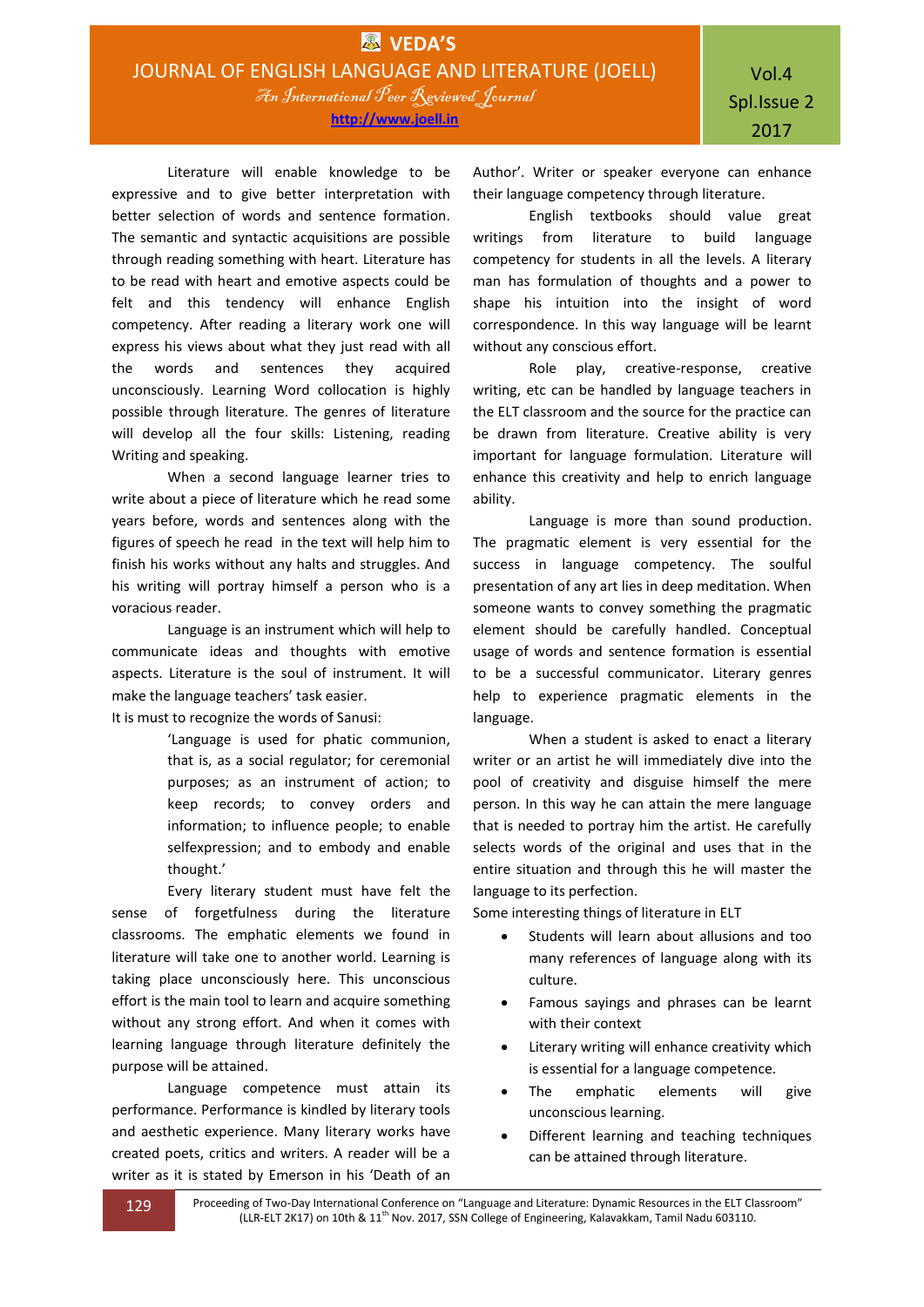Literature will enable knowledge to be expressive and to give better interpretation with better selection of words and sentence formation. The semantic and syntactic acquisitions are possible through reading something with heart. Literature has to be read with heart and emotive aspects could be felt and this tendency will enhance English competency. After reading a literary work one will express his views about what they just read with all the words and sentences they acquired unconsciously. Learning Word collocation is highly possible through literature. The genres of literature will develop all the four skills: Listening, reading Writing and speaking.

When a second language learner tries to write about a piece of literature which he read some years before, words and sentences along with the figures of speech he read in the text will help him to finish his works without any halts and struggles. And his writing will portray himself a person who is a voracious reader.

Language is an instrument which will help to communicate ideas and thoughts with emotive aspects. Literature is the soul of instrument. It will make the language teachers' task easier.

It is must to recognize the words of Sanusi:

'Language is used for phatic communion, that is, as a social regulator; for ceremonial purposes; as an instrument of action; to keep records; to convey orders and information; to influence people; to enable selfexpression; and to embody and enable thought.'

Every literary student must have felt the sense of forgetfulness during the literature classrooms. The emphatic elements we found in literature will take one to another world. Learning is taking place unconsciously here. This unconscious effort is the main tool to learn and acquire something without any strong effort. And when it comes with learning language through literature definitely the purpose will be attained.

Language competence must attain its performance. Performance is kindled by literary tools and aesthetic experience. Many literary works have created poets, critics and writers. A reader will be a writer as it is stated by Emerson in his 'Death of an

Author'. Writer or speaker everyone can enhance their language competency through literature.

English textbooks should value great writings from literature to build language competency for students in all the levels. A literary man has formulation of thoughts and a power to shape his intuition into the insight of word correspondence. In this way language will be learnt without any conscious effort.

Role play, creative-response, creative writing, etc can be handled by language teachers in the ELT classroom and the source for the practice can be drawn from literature. Creative ability is very important for language formulation. Literature will enhance this creativity and help to enrich language ability.

Language is more than sound production. The pragmatic element is very essential for the success in language competency. The soulful presentation of any art lies in deep meditation. When someone wants to convey something the pragmatic element should be carefully handled. Conceptual usage of words and sentence formation is essential to be a successful communicator. Literary genres help to experience pragmatic elements in the language.

When a student is asked to enact a literary writer or an artist he will immediately dive into the pool of creativity and disguise himself the mere person. In this way he can attain the mere language that is needed to portray him the artist. He carefully selects words of the original and uses that in the entire situation and through this he will master the language to its perfection.

Some interesting things of literature in ELT

- Students will learn about allusions and too many references of language along with its culture.
- Famous sayings and phrases can be learnt with their context
- Literary writing will enhance creativity which is essential for a language competence.
- The emphatic elements will give unconscious learning.
- Different learning and teaching techniques can be attained through literature.